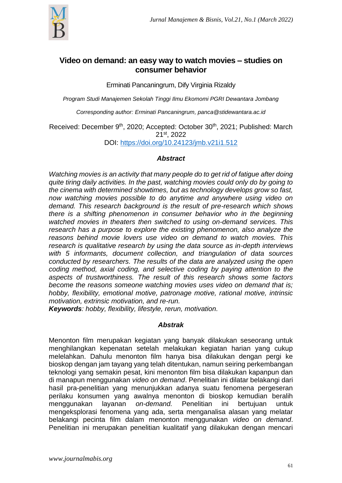

# **Video on demand: an easy way to watch movies – studies on consumer behavior**

Erminati Pancaningrum, Dify Virginia Rizaldy

*Program Studi Manajemen Sekolah Tinggi Ilmu Ekomomi PGRI Dewantara Jombang*

*Corresponding author: Erminati Pancaningrum, panca@stidewantara.ac.id*

Received: December 9<sup>th</sup>, 2020; Accepted: October 30<sup>th</sup>, 2021; Published: March 21st , 2022

DOI: <https://doi.org/10.24123/jmb.v21i1.512>

## *Abstract*

*Watching movies is an activity that many people do to get rid of fatigue after doing quite tiring daily activities. In the past, watching movies could only do by going to the cinema with determined showtimes, but as technology develops grow so fast, now watching movies possible to do anytime and anywhere using video on demand. This research background is the result of pre-research which shows there is a shifting phenomenon in consumer behavior who in the beginning watched movies in theaters then switched to using on-demand services. This research has a purpose to explore the existing phenomenon, also analyze the reasons behind movie lovers use video on demand to watch movies. This research is qualitative research by using the data source as in-depth interviews with 5 informants, document collection, and triangulation of data sources conducted by researchers. The results of the data are analyzed using the open coding method, axial coding, and selective coding by paying attention to the aspects of trustworthiness. The result of this research shows some factors become the reasons someone watching movies uses video on demand that is; hobby, flexibility, emotional motive, patronage motive, rational motive, intrinsic motivation, extrinsic motivation, and re-run.*

*Keywords: hobby, flexibility, lifestyle, rerun, motivation.*

## *Abstrak*

Menonton film merupakan kegiatan yang banyak dilakukan seseorang untuk menghilangkan kepenatan setelah melakukan kegiatan harian yang cukup melelahkan. Dahulu menonton film hanya bisa dilakukan dengan pergi ke bioskop dengan jam tayang yang telah ditentukan, namun seiring perkembangan teknologi yang semakin pesat, kini menonton film bisa dilakukan kapanpun dan di manapun menggunakan *video on demand*. Penelitian ini dilatar belakangi dari hasil pra-penelitian yang menunjukkan adanya suatu fenomena pergeseran perilaku konsumen yang awalnya menonton di bioskop kemudian beralih menggunakan layanan *on-demand.* Penelitian ini bertujuan untuk mengeksplorasi fenomena yang ada, serta menganalisa alasan yang melatar belakangi pecinta film dalam menonton menggunakan *video on demand*. Penelitian ini merupakan penelitian kualitatif yang dilakukan dengan mencari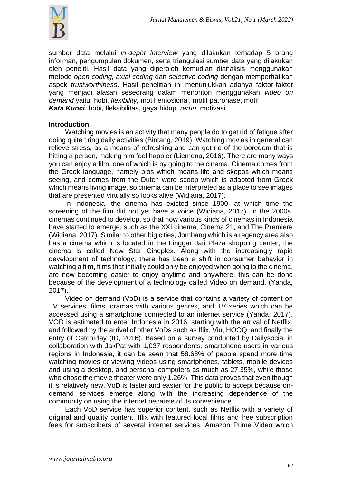

sumber data melalui *in-depht interview* yang dilakukan terhadap 5 orang informan, pengumpulan dokumen, serta triangulasi sumber data yang dilakukan oleh peneliti. Hasil data yang diperoleh kemudian dianalisis menggunakan metode *open coding, axial coding* dan *selective coding* dengan memperhatikan aspek *trustworthiness*. Hasil penelitian ini menunjukkan adanya faktor-faktor yang menjadi alasan seseorang dalam menonton menggunakan *video on demand* yaitu; hobi, *flexibility,* motif emosional, motif patronase, motif *Kata Kunci:* hobi, fleksibilitas, gaya hidup*, rerun,* motivasi*.*

## **Introduction**

Watching movies is an activity that many people do to get rid of fatigue after doing quite tiring daily activities (Bintang, 2019). Watching movies in general can relieve stress, as a means of refreshing and can get rid of the boredom that is hitting a person, making him feel happier (Liemena, 2016). There are many ways you can enjoy a film, one of which is by going to the cinema. Cinema comes from the Greek language, namely bios which means life and skopos which means seeing, and comes from the Dutch word scoop which is adapted from Greek which means living image, so cinema can be interpreted as a place to see images that are presented virtually so looks alive (Widiana, 2017).

In Indonesia, the cinema has existed since 1900, at which time the screening of the film did not yet have a voice (Widiana, 2017). In the 2000s, cinemas continued to develop, so that now various kinds of cinemas in Indonesia have started to emerge, such as the XXI cinema, Cinema 21, and The Premiere (Widiana, 2017). Similar to other big cities, Jombang which is a regency area also has a cinema which is located in the Linggar Jati Plaza shopping center, the cinema is called New Star Cineplex. Along with the increasingly rapid development of technology, there has been a shift in consumer behavior in watching a film, films that initially could only be enjoyed when going to the cinema, are now becoming easier to enjoy anytime and anywhere, this can be done because of the development of a technology called Video on demand. (Yanda, 2017).

Video on demand (VoD) is a service that contains a variety of content on TV services, films, dramas with various genres, and TV series which can be accessed using a smartphone connected to an internet service (Yanda, 2017). VOD is estimated to enter Indonesia in 2016, starting with the arrival of Netflix, and followed by the arrival of other VoDs such as Iflix, Viu, HOOQ, and finally the entry of CatchPlay (ID, 2016). Based on a survey conducted by Dailysocial in collaboration with JakPat with 1,037 respondents, smartphone users in various regions in Indonesia, it can be seen that 58.68% of people spend more time watching movies or viewing videos using smartphones, tablets, mobile devices and using a desktop. and personal computers as much as 27.35%, while those who chose the movie theater were only 1.26%. This data proves that even though it is relatively new, VoD is faster and easier for the public to accept because ondemand services emerge along with the increasing dependence of the community on using the internet because of its convenience.

Each VoD service has superior content, such as Netflix with a variety of original and quality content, Iflix with featured local films and free subscription fees for subscribers of several internet services, Amazon Prime Video which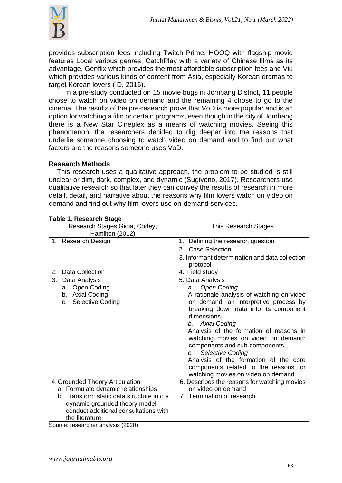

provides subscription fees including Twitch Prime, HOOQ with flagship movie features Local various genres, CatchPlay with a variety of Chinese films as its advantage, Genflix which provides the most affordable subscription fees and Viu which provides various kinds of content from Asia, especially Korean dramas to target Korean lovers (ID, 2016).

In a pre-study conducted on 15 movie bugs in Jombang District, 11 people chose to watch on video on demand and the remaining 4 chose to go to the cinema. The results of the pre-research prove that VoD is more popular and is an option for watching a film or certain programs, even though in the city of Jombang there is a New Star Cineplex as a means of watching movies. Seeing this phenomenon, the researchers decided to dig deeper into the reasons that underlie someone choosing to watch video on demand and to find out what factors are the reasons someone uses VoD.

## **Research Methods**

This research uses a qualitative approach, the problem to be studied is still unclear or dim, dark, complex, and dynamic (Sugiyono, 2017). Researchers use qualitative research so that later they can convey the results of research in more detail, detail, and narrative about the reasons why film lovers watch on video on demand and find out why film lovers use on-demand services.

| ו מטוכ ו. ו/כאכםו טוו טנמעכ                                           |                                                                                                                                                                                                                                                                                                                                                                                                                         |
|-----------------------------------------------------------------------|-------------------------------------------------------------------------------------------------------------------------------------------------------------------------------------------------------------------------------------------------------------------------------------------------------------------------------------------------------------------------------------------------------------------------|
| Research Stages Gioia, Corley,                                        | <b>This Research Stages</b>                                                                                                                                                                                                                                                                                                                                                                                             |
| Hamilton (2012)                                                       |                                                                                                                                                                                                                                                                                                                                                                                                                         |
| 1. Research Design                                                    | Defining the research question<br>1.                                                                                                                                                                                                                                                                                                                                                                                    |
|                                                                       | 2. Case Selection                                                                                                                                                                                                                                                                                                                                                                                                       |
|                                                                       | 3. Informant determination and data collection<br>protocol                                                                                                                                                                                                                                                                                                                                                              |
| Data Collection<br>2.                                                 | 4. Field study                                                                                                                                                                                                                                                                                                                                                                                                          |
| Data Analysis<br>3.                                                   | 5. Data Analysis                                                                                                                                                                                                                                                                                                                                                                                                        |
| <b>Open Coding</b><br>а.                                              | <b>Open Coding</b><br>a.                                                                                                                                                                                                                                                                                                                                                                                                |
| b. Axial Coding<br>Selective Coding<br>C.                             | A rationale analysis of watching on video<br>on demand: an interpretive process by<br>breaking down data into its component<br>dimensions.<br><b>Axial Coding</b><br>b.<br>Analysis of the formation of reasons in<br>watching movies on video on demand:<br>components and sub-components.<br><b>Selective Coding</b><br>$c_{\cdot}$<br>Analysis of the formation of the core<br>components related to the reasons for |
|                                                                       | watching movies on video on demand                                                                                                                                                                                                                                                                                                                                                                                      |
| 4. Grounded Theory Articulation<br>a. Formulate dynamic relationships | 6. Describes the reasons for watching movies<br>on video on demand                                                                                                                                                                                                                                                                                                                                                      |
| b. Transform static data structure into a                             | 7. Termination of research                                                                                                                                                                                                                                                                                                                                                                                              |
| dynamic grounded theory model                                         |                                                                                                                                                                                                                                                                                                                                                                                                                         |
| conduct additional consultations with                                 |                                                                                                                                                                                                                                                                                                                                                                                                                         |
| the literature                                                        |                                                                                                                                                                                                                                                                                                                                                                                                                         |

## **Table 1. Research Stage**

Source: researcher analysis (2020)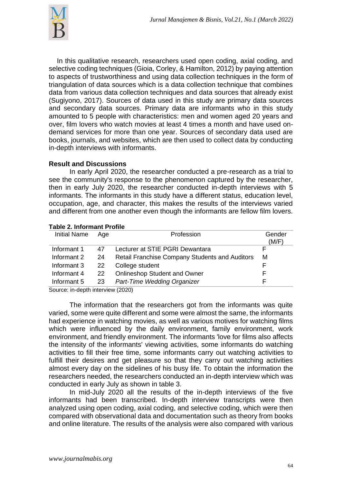

In this qualitative research, researchers used open coding, axial coding, and selective coding techniques (Gioia, Corley, & Hamilton, 2012) by paying attention to aspects of trustworthiness and using data collection techniques in the form of triangulation of data sources which is a data collection technique that combines data from various data collection techniques and data sources that already exist (Sugiyono, 2017). Sources of data used in this study are primary data sources and secondary data sources. Primary data are informants who in this study amounted to 5 people with characteristics: men and women aged 20 years and over, film lovers who watch movies at least 4 times a month and have used ondemand services for more than one year. Sources of secondary data used are books, journals, and websites, which are then used to collect data by conducting in-depth interviews with informants.

## **Result and Discussions**

In early April 2020, the researcher conducted a pre-research as a trial to see the community's response to the phenomenon captured by the researcher, then in early July 2020, the researcher conducted in-depth interviews with 5 informants. The informants in this study have a different status, education level, occupation, age, and character, this makes the results of the interviews varied and different from one another even though the informants are fellow film lovers.

| <b>Initial Name</b> | Aae | Profession                                            | Gender<br>(M/F) |
|---------------------|-----|-------------------------------------------------------|-----------------|
| Informant 1         | 47  | Lecturer at STIE PGRI Dewantara                       |                 |
| Informant 2         | 24  | <b>Retail Franchise Company Students and Auditors</b> | м               |
| Informant 3         | 22  | College student                                       |                 |
| Informant 4         | 22  | <b>Onlineshop Student and Owner</b>                   | F               |
| Informant 5         | -23 | Part-Time Wedding Organizer                           | F               |
|                     |     |                                                       |                 |

## **Table 2. Informant Profile**

Source: in-depth interview (2020)

The information that the researchers got from the informants was quite varied, some were quite different and some were almost the same, the informants had experience in watching movies, as well as various motives for watching films which were influenced by the daily environment, family environment, work environment, and friendly environment. The informants 'love for films also affects the intensity of the informants' viewing activities, some informants do watching activities to fill their free time, some informants carry out watching activities to fulfill their desires and get pleasure so that they carry out watching activities almost every day on the sidelines of his busy life. To obtain the information the researchers needed, the researchers conducted an in-depth interview which was conducted in early July as shown in table 3.

In mid-July 2020 all the results of the in-depth interviews of the five informants had been transcribed. In-depth interview transcripts were then analyzed using open coding, axial coding, and selective coding, which were then compared with observational data and documentation such as theory from books and online literature. The results of the analysis were also compared with various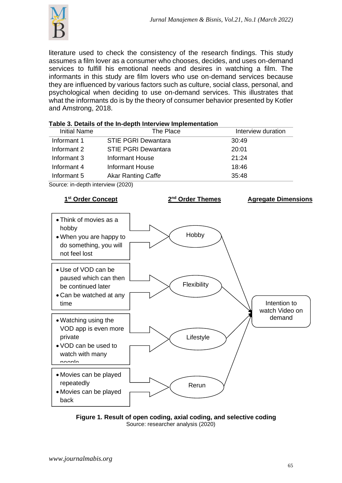

literature used to check the consistency of the research findings. This study assumes a film lover as a consumer who chooses, decides, and uses on-demand services to fulfill his emotional needs and desires in watching a film. The informants in this study are film lovers who use on-demand services because they are influenced by various factors such as culture, social class, personal, and psychological when deciding to use on-demand services. This illustrates that what the informants do is by the theory of consumer behavior presented by Kotler and Amstrong, 2018.

| The Place                  | Interview duration |
|----------------------------|--------------------|
| <b>STIE PGRI Dewantara</b> | 30:49              |
| <b>STIE PGRI Dewantara</b> | 20:01              |
| <b>Informant House</b>     | 21:24              |
| <b>Informant House</b>     | 18:46              |
| Akar Ranting Caffe         | 35:48              |
|                            |                    |

Source: in-depth interview (2020)



**Figure 1. Result of open coding, axial coding, and selective coding** Source: researcher analysis (2020)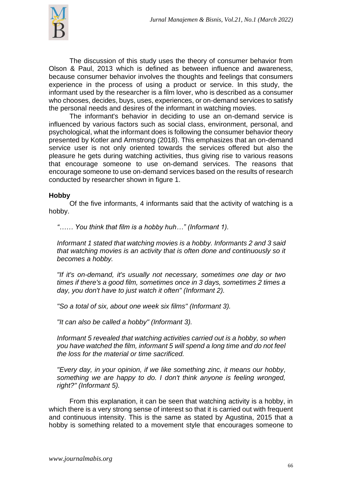

The discussion of this study uses the theory of consumer behavior from Olson & Paul, 2013 which is defined as between influence and awareness, because consumer behavior involves the thoughts and feelings that consumers experience in the process of using a product or service. In this study, the informant used by the researcher is a film lover, who is described as a consumer who chooses, decides, buys, uses, experiences, or on-demand services to satisfy the personal needs and desires of the informant in watching movies.

The informant's behavior in deciding to use an on-demand service is influenced by various factors such as social class, environment, personal, and psychological, what the informant does is following the consumer behavior theory presented by Kotler and Armstrong (2018). This emphasizes that an on-demand service user is not only oriented towards the services offered but also the pleasure he gets during watching activities, thus giving rise to various reasons that encourage someone to use on-demand services. The reasons that encourage someone to use on-demand services based on the results of research conducted by researcher shown in figure 1.

#### **Hobby**

Of the five informants, 4 informants said that the activity of watching is a hobby.

*"…… You think that film is a hobby huh…" (Informant 1).*

*Informant 1 stated that watching movies is a hobby. Informants 2 and 3 said that watching movies is an activity that is often done and continuously so it becomes a hobby.*

*"If it's on-demand, it's usually not necessary, sometimes one day or two times if there's a good film, sometimes once in 3 days, sometimes 2 times a day, you don't have to just watch it often" (Informant 2).*

*"So a total of six, about one week six films" (Informant 3).*

*"It can also be called a hobby" (Informant 3).*

*Informant 5 revealed that watching activities carried out is a hobby, so when you have watched the film, informant 5 will spend a long time and do not feel the loss for the material or time sacrificed.*

*"Every day, in your opinion, if we like something zinc, it means our hobby, something we are happy to do. I don't think anyone is feeling wronged, right?" (Informant 5).*

From this explanation, it can be seen that watching activity is a hobby, in which there is a very strong sense of interest so that it is carried out with frequent and continuous intensity. This is the same as stated by Agustina, 2015 that a hobby is something related to a movement style that encourages someone to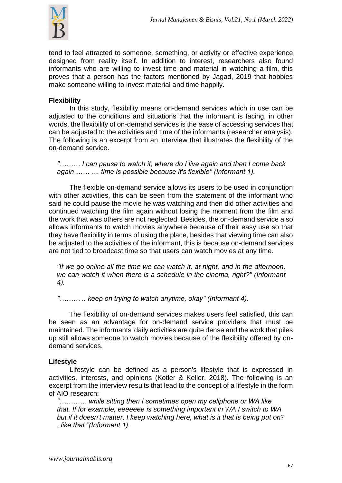

tend to feel attracted to someone, something, or activity or effective experience designed from reality itself. In addition to interest, researchers also found informants who are willing to invest time and material in watching a film, this proves that a person has the factors mentioned by Jagad, 2019 that hobbies make someone willing to invest material and time happily.

# **Flexibility**

In this study, flexibility means on-demand services which in use can be adjusted to the conditions and situations that the informant is facing, in other words, the flexibility of on-demand services is the ease of accessing services that can be adjusted to the activities and time of the informants (researcher analysis). The following is an excerpt from an interview that illustrates the flexibility of the on-demand service.

*"……… I can pause to watch it, where do I live again and then I come back again …… .... time is possible because it's flexible" (Informant 1).*

The flexible on-demand service allows its users to be used in conjunction with other activities, this can be seen from the statement of the informant who said he could pause the movie he was watching and then did other activities and continued watching the film again without losing the moment from the film and the work that was others are not neglected. Besides, the on-demand service also allows informants to watch movies anywhere because of their easy use so that they have flexibility in terms of using the place, besides that viewing time can also be adjusted to the activities of the informant, this is because on-demand services are not tied to broadcast time so that users can watch movies at any time.

*"If we go online all the time we can watch it, at night, and in the afternoon, we can watch it when there is a schedule in the cinema, right?" (Informant 4).*

*"……… .. keep on trying to watch anytime, okay" (Informant 4).*

The flexibility of on-demand services makes users feel satisfied, this can be seen as an advantage for on-demand service providers that must be maintained. The informants' daily activities are quite dense and the work that piles up still allows someone to watch movies because of the flexibility offered by ondemand services.

## **Lifestyle**

Lifestyle can be defined as a person's lifestyle that is expressed in activities, interests, and opinions (Kotler & Keller, 2018). The following is an excerpt from the interview results that lead to the concept of a lifestyle in the form of AIO research:

*"………… while sitting then I sometimes open my cellphone or WA like that. If for example, eeeeeee is something important in WA I switch to WA but if it doesn't matter, I keep watching here, what is it that is being put on? , like that "(Informant 1).*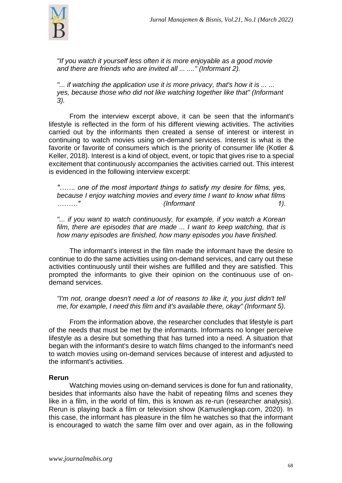

*"If you watch it yourself less often it is more enjoyable as a good movie and there are friends who are invited all ... ...." (Informant 2).*

*"... if watching the application use it is more privacy, that's how it is ... ... yes, because those who did not like watching together like that" (Informant 3).*

From the interview excerpt above, it can be seen that the informant's lifestyle is reflected in the form of his different viewing activities. The activities carried out by the informants then created a sense of interest or interest in continuing to watch movies using on-demand services. Interest is what is the favorite or favorite of consumers which is the priority of consumer life (Kotler & Keller, 2018). Interest is a kind of object, event, or topic that gives rise to a special excitement that continuously accompanies the activities carried out. This interest is evidenced in the following interview excerpt:

*"……. one of the most important things to satisfy my desire for films, yes, because I enjoy watching movies and every time I want to know what films ………" (Informant 1).*

"... if you want to watch continuously, for example, if you watch a Korean *film, there are episodes that are made ... I want to keep watching, that is how many episodes are finished, how many episodes you have finished.*

The informant's interest in the film made the informant have the desire to continue to do the same activities using on-demand services, and carry out these activities continuously until their wishes are fulfilled and they are satisfied. This prompted the informants to give their opinion on the continuous use of ondemand services.

*"I'm not, orange doesn't need a lot of reasons to like it, you just didn't tell me, for example, I need this film and it's available there, okay" (Informant 5).*

From the information above, the researcher concludes that lifestyle is part of the needs that must be met by the informants. Informants no longer perceive lifestyle as a desire but something that has turned into a need. A situation that began with the informant's desire to watch films changed to the informant's need to watch movies using on-demand services because of interest and adjusted to the informant's activities.

## **Rerun**

Watching movies using on-demand services is done for fun and rationality, besides that informants also have the habit of repeating films and scenes they like in a film, in the world of film, this is known as re-run (researcher analysis). Rerun is playing back a film or television show (Kamuslengkap.com, 2020). In this case, the informant has pleasure in the film he watches so that the informant is encouraged to watch the same film over and over again, as in the following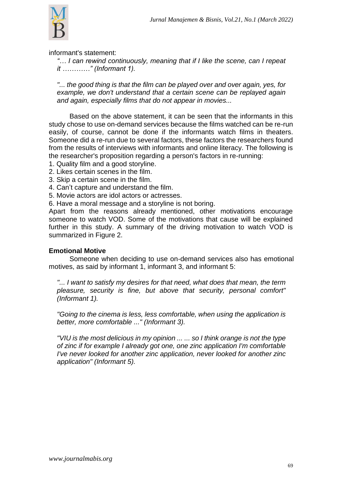

informant's statement:

*"… I can rewind continuously, meaning that if I like the scene, can I repeat it …………" (Informant 1).*

*"... the good thing is that the film can be played over and over again, yes, for example, we don't understand that a certain scene can be replayed again and again, especially films that do not appear in movies...*

Based on the above statement, it can be seen that the informants in this study chose to use on-demand services because the films watched can be re-run easily, of course, cannot be done if the informants watch films in theaters. Someone did a re-run due to several factors, these factors the researchers found from the results of interviews with informants and online literacy. The following is the researcher's proposition regarding a person's factors in re-running:

- 1. Quality film and a good storyline.
- 2. Likes certain scenes in the film.
- 3. Skip a certain scene in the film.
- 4. Can't capture and understand the film.
- 5. Movie actors are idol actors or actresses.

6. Have a moral message and a storyline is not boring.

Apart from the reasons already mentioned, other motivations encourage someone to watch VOD. Some of the motivations that cause will be explained further in this study. A summary of the driving motivation to watch VOD is summarized in Figure 2.

## **Emotional Motive**

Someone when deciding to use on-demand services also has emotional motives, as said by informant 1, informant 3, and informant 5:

*"... I want to satisfy my desires for that need, what does that mean, the term pleasure, security is fine, but above that security, personal comfort" (Informant 1).*

*"Going to the cinema is less, less comfortable, when using the application is better, more comfortable ..." (Informant 3).*

*"VIU is the most delicious in my opinion ... ... so I think orange is not the type of zinc if for example I already got one, one zinc application I'm comfortable I've never looked for another zinc application, never looked for another zinc application" (Informant 5).*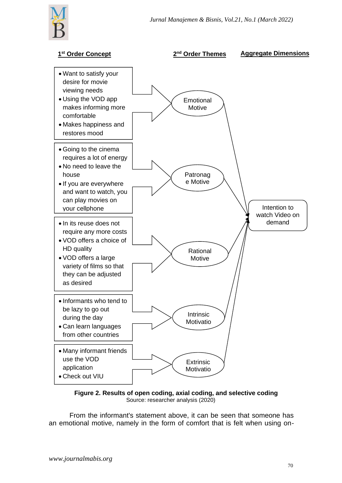

#### **1 st Order Concept 2 nd Order Themes Aggregate Dimensions** • Want to satisfy your desire for movie viewing needs • Using the VOD app makes informing more comfortable • Makes happiness and restores mood • Informants who tend to be lazy to go out during the day • Can learn languages from other countries • Going to the cinema requires a lot of energy • No need to leave the house • If you are everywhere and want to watch, you can play movies on your cellphone • In its reuse does not require any more costs • VOD offers a choice of HD quality • VOD offers a large variety of films so that they can be adjusted as desired Emotional Motive Patronag e Motive Rational Motive **Intrinsic** Motivatio n Intention to watch Video on demand **Extrinsic** Motivatio • Many informant friends use the VOD application • Check out VIU commercials from TV and TV and TV and TV and TV and TV and TV and TV and TV and TV and TV and TV and TV and TV

**Figure 2. Results of open coding, axial coding, and selective coding** Source: researcher analysis (2020)

From the informant's statement above, it can be seen that someone has an emotional motive, namely in the form of comfort that is felt when using on-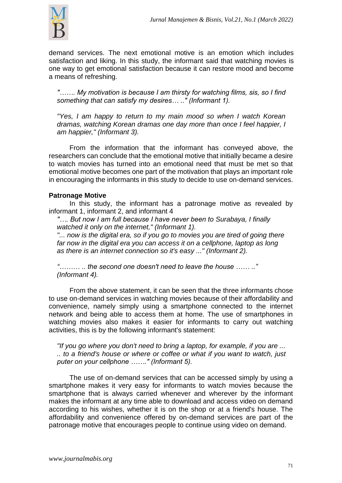

demand services. The next emotional motive is an emotion which includes satisfaction and liking. In this study, the informant said that watching movies is one way to get emotional satisfaction because it can restore mood and become a means of refreshing.

*"……. My motivation is because I am thirsty for watching films, sis, so I find something that can satisfy my desires… .." (Informant 1).*

*"Yes, I am happy to return to my main mood so when I watch Korean dramas, watching Korean dramas one day more than once I feel happier, I am happier," (Informant 3).*

From the information that the informant has conveyed above, the researchers can conclude that the emotional motive that initially became a desire to watch movies has turned into an emotional need that must be met so that emotional motive becomes one part of the motivation that plays an important role in encouraging the informants in this study to decide to use on-demand services.

#### **Patronage Motive**

In this study, the informant has a patronage motive as revealed by informant 1, informant 2, and informant 4

*"…. But now I am full because I have never been to Surabaya, I finally watched it only on the internet," (Informant 1).*

*"... now is the digital era, so if you go to movies you are tired of going there*  far now in the digital era you can access it on a cellphone, laptop as long *as there is an internet connection so it's easy ..." (Informant 2).*

*"……… .. the second one doesn't need to leave the house …… .." (Informant 4).*

From the above statement, it can be seen that the three informants chose to use on-demand services in watching movies because of their affordability and convenience, namely simply using a smartphone connected to the internet network and being able to access them at home. The use of smartphones in watching movies also makes it easier for informants to carry out watching activities, this is by the following informant's statement:

*"If you go where you don't need to bring a laptop, for example, if you are ... .. to a friend's house or where or coffee or what if you want to watch, just puter on your cellphone ……." (Informant 5).*

The use of on-demand services that can be accessed simply by using a smartphone makes it very easy for informants to watch movies because the smartphone that is always carried whenever and wherever by the informant makes the informant at any time able to download and access video on demand according to his wishes, whether it is on the shop or at a friend's house. The affordability and convenience offered by on-demand services are part of the patronage motive that encourages people to continue using video on demand.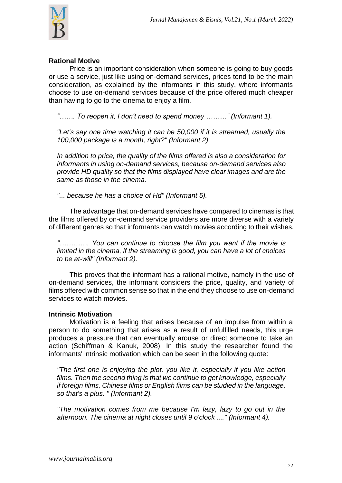

#### **Rational Motive**

Price is an important consideration when someone is going to buy goods or use a service, just like using on-demand services, prices tend to be the main consideration, as explained by the informants in this study, where informants choose to use on-demand services because of the price offered much cheaper than having to go to the cinema to enjoy a film.

*"……. To reopen it, I don't need to spend money ………" (Informant 1).*

*"Let's say one time watching it can be 50,000 if it is streamed, usually the 100,000 package is a month, right?" (Informant 2).*

*In addition to price, the quality of the films offered is also a consideration for informants in using on-demand services, because on-demand services also provide HD quality so that the films displayed have clear images and are the same as those in the cinema.*

*"... because he has a choice of Hd" (Informant 5).*

The advantage that on-demand services have compared to cinemas is that the films offered by on-demand service providers are more diverse with a variety of different genres so that informants can watch movies according to their wishes.

*"…………. You can continue to choose the film you want if the movie is limited in the cinema, if the streaming is good, you can have a lot of choices to be at-will" (Informant 2).*

This proves that the informant has a rational motive, namely in the use of on-demand services, the informant considers the price, quality, and variety of films offered with common sense so that in the end they choose to use on-demand services to watch movies.

#### **Intrinsic Motivation**

Motivation is a feeling that arises because of an impulse from within a person to do something that arises as a result of unfulfilled needs, this urge produces a pressure that can eventually arouse or direct someone to take an action (Schiffman & Kanuk, 2008). In this study the researcher found the informants' intrinsic motivation which can be seen in the following quote:

*"The first one is enjoying the plot, you like it, especially if you like action films. Then the second thing is that we continue to get knowledge, especially if foreign films, Chinese films or English films can be studied in the language, so that's a plus. " (Informant 2).*

*"The motivation comes from me because I'm lazy, lazy to go out in the afternoon. The cinema at night closes until 9 o'clock ...." (Informant 4).*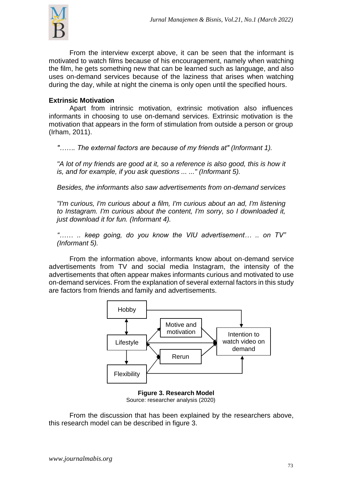

From the interview excerpt above, it can be seen that the informant is motivated to watch films because of his encouragement, namely when watching the film, he gets something new that can be learned such as language, and also uses on-demand services because of the laziness that arises when watching during the day, while at night the cinema is only open until the specified hours.

# **Extrinsic Motivation**

Apart from intrinsic motivation, extrinsic motivation also influences informants in choosing to use on-demand services. Extrinsic motivation is the motivation that appears in the form of stimulation from outside a person or group (Irham, 2011).

*"……. The external factors are because of my friends at" (Informant 1).*

*"A lot of my friends are good at it, so a reference is also good, this is how it is, and for example, if you ask questions ... ..." (Informant 5).*

*Besides, the informants also saw advertisements from on-demand services*

*"I'm curious, I'm curious about a film, I'm curious about an ad, I'm listening to Instagram. I'm curious about the content, I'm sorry, so I downloaded it, just download it for fun. (Informant 4).*

*"…… .. keep going, do you know the VIU advertisement… .. on TV" (Informant 5).*

From the information above, informants know about on-demand service advertisements from TV and social media Instagram, the intensity of the advertisements that often appear makes informants curious and motivated to use on-demand services. From the explanation of several external factors in this study are factors from friends and family and advertisements.



**Figure 3. Research Model** Source: researcher analysis (2020)

From the discussion that has been explained by the researchers above, this research model can be described in figure 3.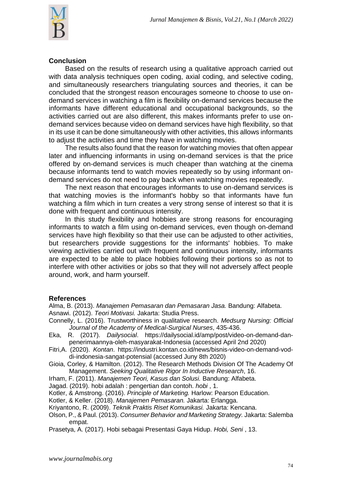

#### **Conclusion**

Based on the results of research using a qualitative approach carried out with data analysis techniques open coding, axial coding, and selective coding, and simultaneously researchers triangulating sources and theories, it can be concluded that the strongest reason encourages someone to choose to use ondemand services in watching a film is flexibility on-demand services because the informants have different educational and occupational backgrounds, so the activities carried out are also different, this makes informants prefer to use ondemand services because video on demand services have high flexibility, so that in its use it can be done simultaneously with other activities, this allows informants to adjust the activities and time they have in watching movies.

The results also found that the reason for watching movies that often appear later and influencing informants in using on-demand services is that the price offered by on-demand services is much cheaper than watching at the cinema because informants tend to watch movies repeatedly so by using informant ondemand services do not need to pay back when watching movies repeatedly.

The next reason that encourages informants to use on-demand services is that watching movies is the informant's hobby so that informants have fun watching a film which in turn creates a very strong sense of interest so that it is done with frequent and continuous intensity.

In this study flexibility and hobbies are strong reasons for encouraging informants to watch a film using on-demand services, even though on-demand services have high flexibility so that their use can be adjusted to other activities, but researchers provide suggestions for the informants' hobbies. To make viewing activities carried out with frequent and continuous intensity, informants are expected to be able to place hobbies following their portions so as not to interfere with other activities or jobs so that they will not adversely affect people around, work, and harm yourself.

## **References**

Alma, B. (2013). *Manajemen Pemasaran dan Pemasaran Jasa.* Bandung: Alfabeta. Asnawi. (2012). *Teori Motivasi.* Jakarta: Studia Press.

- Connelly, L. (2016). Trustworthiness in qualitative research. *Medsurg Nursing: Official Journal of the Academy of Medical-Surgical Nurses*, 435-436.
- Eka, R. (2017). *Dailysocial*. https://dailysocial.id/amp/post/video-on-demand-danpenerimaannya-oleh-masyarakat-Indonesia (accessed April 2nd 2020)
- Fitri,A. (2020). *Kontan*. https://industri.kontan.co.id/news/bisnis-video-on-demand-voddi-indonesia-sangat-potensial (accessed Juny 8th 2020)
- Gioia, Corley, & Hamilton. (2012). The Research Methods Division Of The Academy Of Management. *Seeking Qualitative Rigor In Inductive Research*, 16.
- Irham, F. (2011). *Manajemen Teori, Kasus dan Solusi.* Bandung: Alfabeta.
- Jagad. (2019). hobi adalah : pengertian dan contoh. *hobi* , 1.
- Kotler, & Amstrong. (2016). *Principle of Marketing.* Harlow: Pearson Education.
- Kotler, & Keller. (2018). *Manajemen Pemasaran.* Jakarta: Erlangga.
- Kriyantono, R. (2009). *Teknik Praktis Riset Komunikasi.* Jakarta: Kencana.
- Olson, P., & Paul. (2013). *Consumer Behavior and Marketing Strategy.* Jakarta: Salemba empat.

Prasetya, A. (2017). Hobi sebagai Presentasi Gaya Hidup. *Hobi, Seni* , 13.